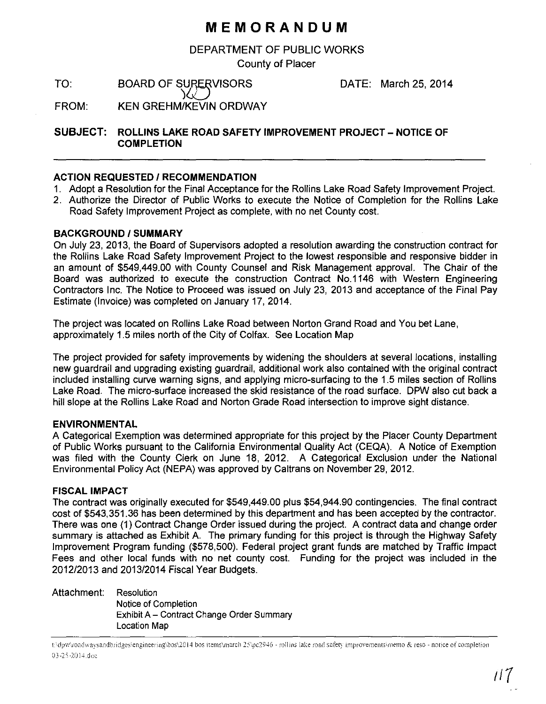## **MEMORANDUM**

DEPARTMENT OF PUBLIC WORKS

County of Placer

TO: BOARD OF SURERVISORS  $\bigwedge$ 

DATE: March 25, 2014

FROM: KEN GREHM/KEVIN ORDWAY

**SUBJECT: ROLLINS LAKE ROAD SAFETY IMPROVEMENT PROJECT- NOTICE OF COMPLETION** 

#### **ACTION REQUESTED I RECOMMENDATION**

- 1. Adopt a Resolution for the Final Acceptance for the Rollins Lake Road Safety Improvement Project.
- 2. Authorize the Director of Public Works to execute the Notice of Completion for the Rollins Lake Road Safety Improvement Project as complete, with no net County cost.

#### **BACKGROUND/SUMMARY**

On July 23, 2013, the Board of Supervisors adopted a resolution awarding the construction contract for the Rollins Lake Road Safety Improvement Project to the lowest responsible and responsive bidder in an amount of \$549,449.00 with County Counsel and Risk Management approval. The Chair of the Board was authorized to execute the construction Contract No.1146 with Western Engineering Contractors Inc. The Notice to Proceed was issued on July 23, 2013 and acceptance of the Final Pay Estimate (Invoice) was completed on January 17, 2014.

The project was located on Rollins Lake Road between Norton Grand Road and You bet Lane, approximately 1.5 miles north of the City of Colfax. See Location Map

The project provided for safety improvements by widening the shoulders at several locations, installing new guardrail and upgrading existing guardrail, additional work also contained with the original contract included installing curve warning signs, and applying micro-surfacing to the 1.5 miles section of Rollins Lake Road. The micro-surface increased the skid resistance of the road surface. DPW also cut back a hill slope at the Rollins Lake Road and Norton Grade Road intersection to improve sight distance.

#### **ENVIRONMENTAL**

A Categorical Exemption was determined appropriate for this project by the Placer County Department of Public Works pursuant to the California Environmental Quality Act (CEQA). A Notice of Exemption was filed with the County Clerk on June 18, 2012. A Categorical Exclusion under the National Environmental Policy Act (NEPA) was approved by Caltrans on November 29, 2012.

#### **FISCAL IMPACT**

The contract was originally executed for \$549,449.00 plus \$54,944.90 contingencies. The final contract cost of \$543,351.36 has been determined by this department and has been accepted by the contractor. There was one (1) Contract Change Order issued during the project. A contract data and change order summary is attached as Exhibit A. The primary funding for this project is through the Highway Safety Improvement Program funding (\$578,500). Federal project grant funds are matched by Traffic Impact Fees and other local funds with no net county cost. Funding for the project was included in the 2012/2013 and 2013/2014 Fiscal Year Budgets.

Attachment: Resolution

Notice of Completion Exhibit A- Contract Change Order Summary Location Map

t:\dpw\roadwaysandbridges\engineering\bos\2014 bos items\march 25\pc2946 - rollins lake road safety improvements\memo & reso - notice of completion 03-25-2014.doc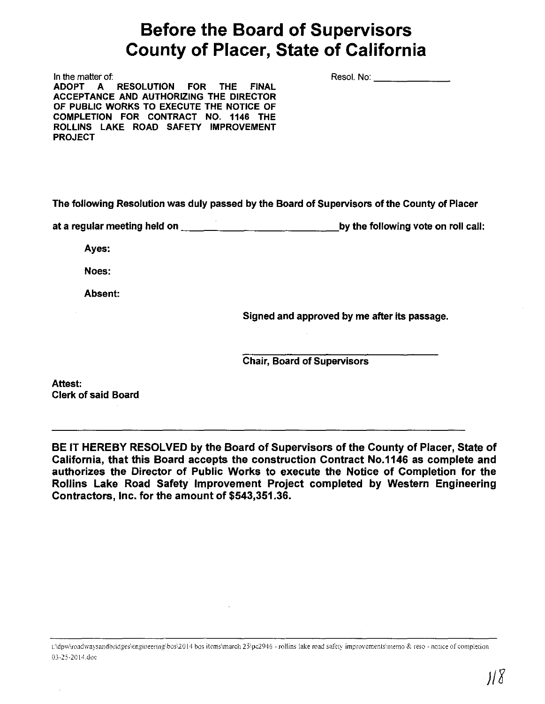# **Before the Board of Supervisors County of Placer, State of California**

In the matter of: ADOPT A RESOLUTION FOR THE FINAL ACCEPTANCE AND AUTHORIZING THE DIRECTOR OF PUBLIC WORKS TO EXECUTE THE NOTICE OF COMPLETION FOR CONTRACT NO. 1146 THE ROLLINS LAKE ROAD SAFETY IMPROVEMENT PROJECT

The following Resolution was duly passed by the Board of Supervisors of the County of Placer

at a regular meeting held on  $\frac{1}{\sqrt{1-\frac{1}{n}}-\frac{1}{\sqrt{1-\frac{1}{n}}-\frac{1}{n}}}$  by the following vote on roll call:

Ayes:

Noes:

Absent:

Signed and approved by me after its passage.

Resol. No: \_\_\_\_\_\_\_\_\_\_\_\_\_\_

Chair, Board of Supervisors

Attest: Clerk of said Board

BE IT HEREBY RESOLVED by the Board of Supervisors of the County of Placer, State of California, that this Board accepts the construction Contract No.1146 as complete and authorizes the Director of Public Works to execute the Notice of Completion for the Rollins Lake Road Safety Improvement Project completed by Western Engineering Contractors, Inc. for the amount of \$543,351.36.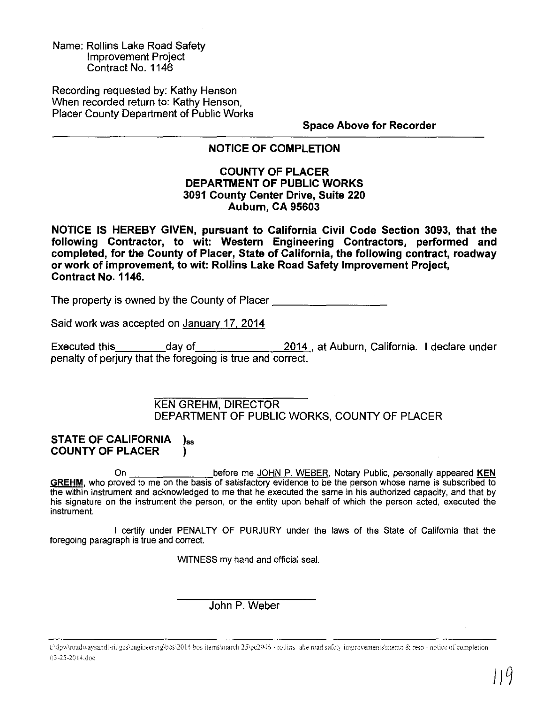Name: Rollins Lake Road Safety Improvement Project Contract No. 1146

Recording requested by: Kathy Henson When recorded return to: Kathy Henson, Placer County Department of Public Works

**Space Above for Recorder** 

### **NOTICE OF COMPLETION**

#### **COUNTY OF PLACER DEPARTMENT OF PUBLIC WORKS 3091 County Center Drive, Suite 220 Auburn, CA 95603**

**NOTICE IS HEREBY GIVEN, pursuant to California Civil Code Section 3093, that the following Contractor, to wit: Western Engineering Contractors, performed and completed, for the County of Placer, State of California, the following contract, roadway or work of improvement, to wit: Rollins Lake Road Safety Improvement Project, Contract No. 1146.** 

The property is owned by the County of Placer---------

Said work was accepted on Januarv 17. 2014

Executed this day of 2014 , at Auburn, California. I declare under penalty of perjury that the foregoing is true and correct.

> KEN GREHM, DIRECTOR DEPARTMENT OF PUBLIC WORKS, COUNTY OF PLACER

#### **STATE OF CALIFORNIA** )<sub>ss</sub> **COUNTY OF PLACER** )

On before me JOHN P. WEBER, Notary Public, personally appeared **KEN GREHM,** who proved to me on the basis of satisfactory evidence to be the person whose name is subscribed to the within instrument and acknowledged to me that he executed the same in his authorized capacity, and that by his signature on the instrument the person, or the entity upon behalf of which the person acted, executed the instrument.

I certifY under PENALTY OF PURJURY under the laws of the State of California that the foregoing paragraph is true and correct.

WITNESS my hand and official seal.

John P. Weber

t'\dpw\roadwaysandbridges\engineering\bos\2014 bos items\march 25\pc2946 - rollins lake road safety improvements\memo & reso - notice of completion 03-25-2014.doc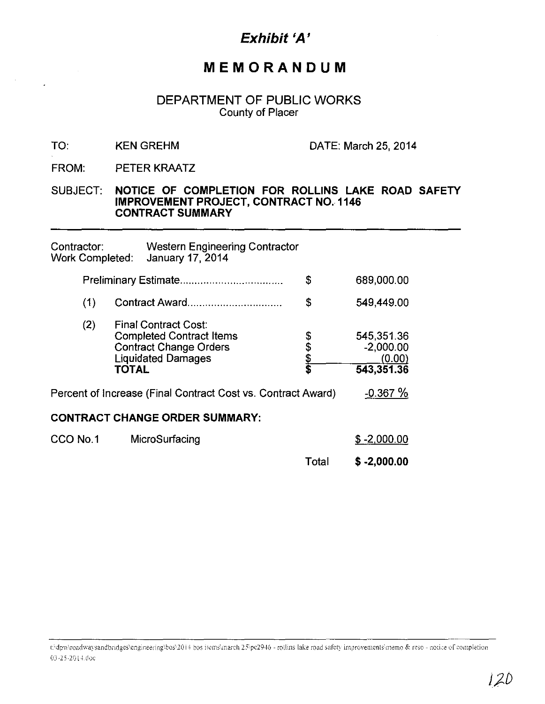## Exhibit 'A'

## MEMORANDUM

### DEPARTMENT OF PUBLIC WORKS **County of Placer**

#### TO: **KEN GREHM**

DATE: March 25, 2014

FROM: PETER KRAATZ

#### NOTICE OF COMPLETION FOR ROLLINS LAKE ROAD SAFETY **SUBJECT: IMPROVEMENT PROJECT, CONTRACT NO. 1146 CONTRACT SUMMARY**

| Contractor:<br><b>Work Completed:</b> |     |       | <b>Western Engineering Contractor</b><br>January 17, 2014                                                                    |            |                                                   |  |
|---------------------------------------|-----|-------|------------------------------------------------------------------------------------------------------------------------------|------------|---------------------------------------------------|--|
|                                       |     |       | \$                                                                                                                           | 689,000.00 |                                                   |  |
|                                       | (1) |       | Contract Award                                                                                                               | \$         | 549,449.00                                        |  |
|                                       | (2) | TOTAL | <b>Final Contract Cost:</b><br><b>Completed Contract Items</b><br><b>Contract Change Orders</b><br><b>Liquidated Damages</b> | 8469 SH    | 545,351.36<br>$-2,000.00$<br>(0.00)<br>543,351.36 |  |
|                                       |     |       | Percent of Increase (Final Contract Cost vs. Contract Award)                                                                 |            | $-0.367%$                                         |  |
|                                       |     |       | <b>CONTRACT CHANGE ORDER SUMMARY:</b>                                                                                        |            |                                                   |  |
| CCO No.1                              |     |       | MicroSurfacing                                                                                                               |            | $$ -2,000.00$                                     |  |
|                                       |     |       |                                                                                                                              | Total      | $$ -2,000.00$                                     |  |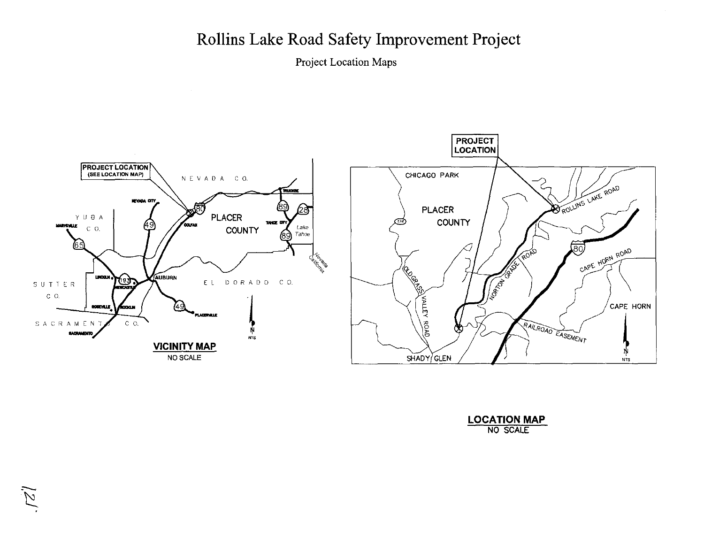# Rollins Lake Road Safety Improvement Project

Project Location Maps





| <b>LOCATION MAP</b> |                 |  |
|---------------------|-----------------|--|
|                     | <b>NO SCALE</b> |  |